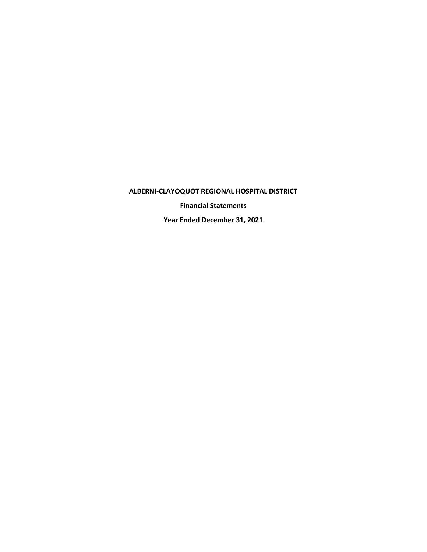**Financial Statements**

**Year Ended December 31, 2021**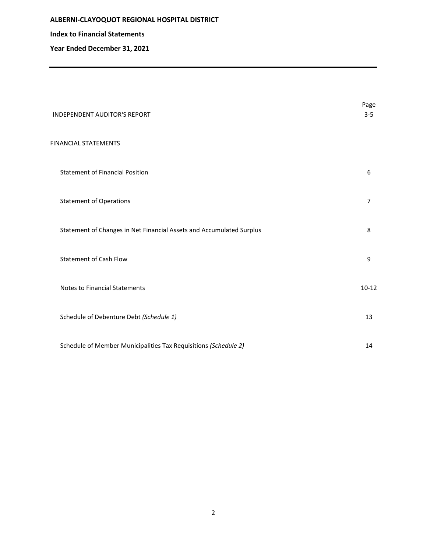**Index to Financial Statements**

**Year Ended December 31, 2021** 

| <b>INDEPENDENT AUDITOR'S REPORT</b>                                  | Page<br>$3 - 5$ |
|----------------------------------------------------------------------|-----------------|
| <b>FINANCIAL STATEMENTS</b>                                          |                 |
| <b>Statement of Financial Position</b>                               | 6               |
| <b>Statement of Operations</b>                                       | $\overline{7}$  |
| Statement of Changes in Net Financial Assets and Accumulated Surplus | 8               |
| <b>Statement of Cash Flow</b>                                        | 9               |
| <b>Notes to Financial Statements</b>                                 | $10 - 12$       |
| Schedule of Debenture Debt (Schedule 1)                              | 13              |
| Schedule of Member Municipalities Tax Requisitions (Schedule 2)      | 14              |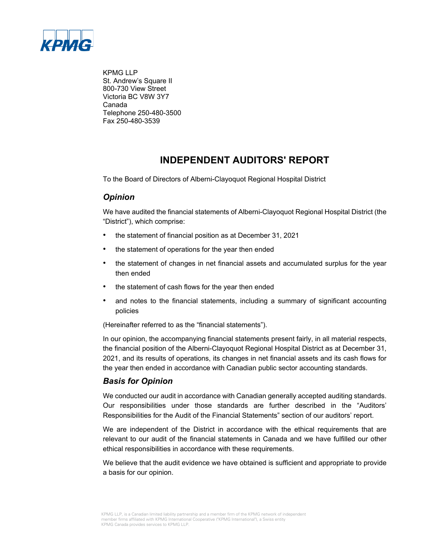

KPMG LLP St. Andrew's Square II 800-730 View Street Victoria BC V8W 3Y7 Canada Telephone 250-480-3500 Fax 250-480-3539

# **INDEPENDENT AUDITORS' REPORT**

To the Board of Directors of Alberni-Clayoquot Regional Hospital District

## *Opinion*

We have audited the financial statements of Alberni-Clayoquot Regional Hospital District (the "District"), which comprise:

- the statement of financial position as at December 31, 2021
- the statement of operations for the year then ended
- the statement of changes in net financial assets and accumulated surplus for the year then ended
- the statement of cash flows for the year then ended
- and notes to the financial statements, including a summary of significant accounting policies

(Hereinafter referred to as the "financial statements").

In our opinion, the accompanying financial statements present fairly, in all material respects, the financial position of the Alberni-Clayoquot Regional Hospital District as at December 31, 2021, and its results of operations, its changes in net financial assets and its cash flows for the year then ended in accordance with Canadian public sector accounting standards.

## *Basis for Opinion*

We conducted our audit in accordance with Canadian generally accepted auditing standards. Our responsibilities under those standards are further described in the "Auditors' Responsibilities for the Audit of the Financial Statements" section of our auditors' report.

We are independent of the District in accordance with the ethical requirements that are relevant to our audit of the financial statements in Canada and we have fulfilled our other ethical responsibilities in accordance with these requirements.

We believe that the audit evidence we have obtained is sufficient and appropriate to provide a basis for our opinion.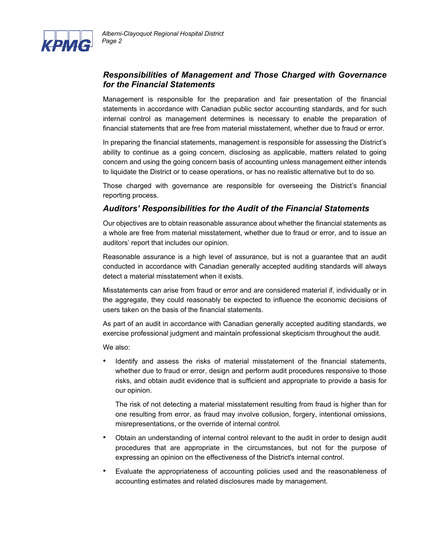

## *Responsibilities of Management and Those Charged with Governance for the Financial Statements*

Management is responsible for the preparation and fair presentation of the financial statements in accordance with Canadian public sector accounting standards, and for such internal control as management determines is necessary to enable the preparation of financial statements that are free from material misstatement, whether due to fraud or error.

In preparing the financial statements, management is responsible for assessing the District's ability to continue as a going concern, disclosing as applicable, matters related to going concern and using the going concern basis of accounting unless management either intends to liquidate the District or to cease operations, or has no realistic alternative but to do so.

Those charged with governance are responsible for overseeing the District's financial reporting process.

## *Auditors' Responsibilities for the Audit of the Financial Statements*

Our objectives are to obtain reasonable assurance about whether the financial statements as a whole are free from material misstatement, whether due to fraud or error, and to issue an auditors' report that includes our opinion.

Reasonable assurance is a high level of assurance, but is not a guarantee that an audit conducted in accordance with Canadian generally accepted auditing standards will always detect a material misstatement when it exists.

Misstatements can arise from fraud or error and are considered material if, individually or in the aggregate, they could reasonably be expected to influence the economic decisions of users taken on the basis of the financial statements.

As part of an audit in accordance with Canadian generally accepted auditing standards, we exercise professional judgment and maintain professional skepticism throughout the audit.

We also:

• Identify and assess the risks of material misstatement of the financial statements, whether due to fraud or error, design and perform audit procedures responsive to those risks, and obtain audit evidence that is sufficient and appropriate to provide a basis for our opinion.

The risk of not detecting a material misstatement resulting from fraud is higher than for one resulting from error, as fraud may involve collusion, forgery, intentional omissions, misrepresentations, or the override of internal control.

- Obtain an understanding of internal control relevant to the audit in order to design audit procedures that are appropriate in the circumstances, but not for the purpose of expressing an opinion on the effectiveness of the District's internal control.
- Evaluate the appropriateness of accounting policies used and the reasonableness of accounting estimates and related disclosures made by management.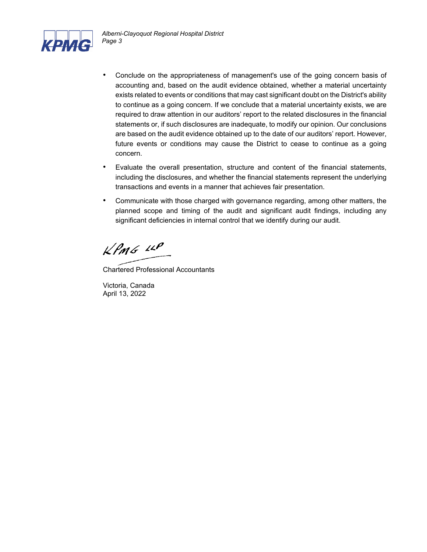

- Conclude on the appropriateness of management's use of the going concern basis of accounting and, based on the audit evidence obtained, whether a material uncertainty exists related to events or conditions that may cast significant doubt on the District's ability to continue as a going concern. If we conclude that a material uncertainty exists, we are required to draw attention in our auditors' report to the related disclosures in the financial statements or, if such disclosures are inadequate, to modify our opinion. Our conclusions are based on the audit evidence obtained up to the date of our auditors' report. However, future events or conditions may cause the District to cease to continue as a going concern.
- Evaluate the overall presentation, structure and content of the financial statements, including the disclosures, and whether the financial statements represent the underlying transactions and events in a manner that achieves fair presentation.
- Communicate with those charged with governance regarding, among other matters, the planned scope and timing of the audit and significant audit findings, including any significant deficiencies in internal control that we identify during our audit.

 $k$ *PmG*  $44$ 

Chartered Professional Accountants

Victoria, Canada April 13, 2022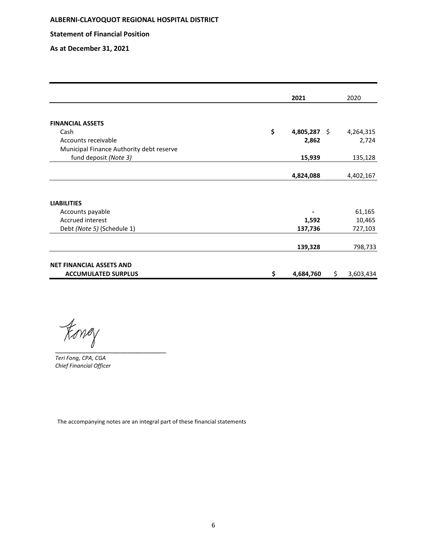**Statement of Financial Position**

**As at December 31, 2021** 

|                                          | 2021               |    | 2020      |
|------------------------------------------|--------------------|----|-----------|
|                                          |                    |    |           |
| <b>FINANCIAL ASSETS</b>                  |                    |    |           |
| Cash                                     | \$<br>4,805,287 \$ |    | 4,264,315 |
| Accounts receivable                      | 2,862              |    | 2,724     |
| Municipal Finance Authority debt reserve |                    |    |           |
| fund deposit (Note 3)                    | 15,939             |    | 135,128   |
|                                          |                    |    |           |
|                                          | 4,824,088          |    | 4,402,167 |
|                                          |                    |    |           |
| <b>LIABILITIES</b>                       |                    |    |           |
| Accounts payable                         |                    |    | 61,165    |
| Accrued interest                         | 1,592              |    | 10,465    |
| Debt (Note 5) (Schedule 1)               | 137,736            |    | 727,103   |
|                                          | 139,328            |    | 798,733   |
| <b>NET FINANCIAL ASSETS AND</b>          |                    |    |           |
| <b>ACCUMULATED SURPLUS</b>               | \$<br>4,684,760    | S. | 3,603,434 |

 $\not\models$ oney

*Teri Fong, CPA, CGA Chief Financial Officer*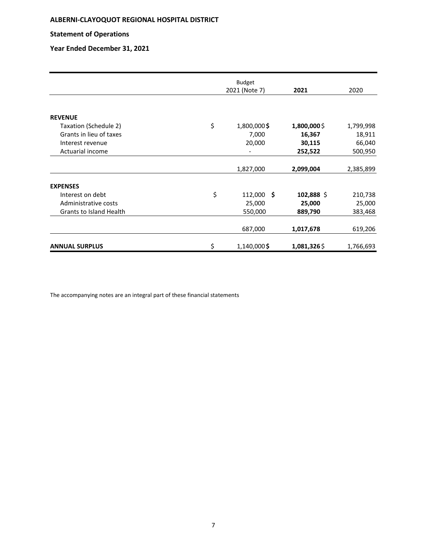### **Statement of Operations**

## **Year Ended December 31, 2021**

|                                | <b>Budget</b>      |             |           |
|--------------------------------|--------------------|-------------|-----------|
|                                | 2021 (Note 7)      | 2021        | 2020      |
|                                |                    |             |           |
| <b>REVENUE</b>                 |                    |             |           |
| Taxation (Schedule 2)          | \$<br>1,800,000\$  | 1,800,000\$ | 1,799,998 |
| Grants in lieu of taxes        | 7,000              | 16,367      | 18,911    |
| Interest revenue               | 20,000             | 30,115      | 66,040    |
| Actuarial income               |                    | 252,522     | 500,950   |
|                                | 1,827,000          | 2,099,004   | 2,385,899 |
| <b>EXPENSES</b>                |                    |             |           |
| Interest on debt               | \$<br>$112,000$ \$ | 102,888 \$  | 210,738   |
| Administrative costs           | 25,000             | 25,000      | 25,000    |
| <b>Grants to Island Health</b> | 550,000            | 889,790     | 383,468   |
|                                | 687,000            | 1,017,678   | 619,206   |
| <b>ANNUAL SURPLUS</b>          | \$<br>1,140,000\$  | 1,081,326\$ | 1,766,693 |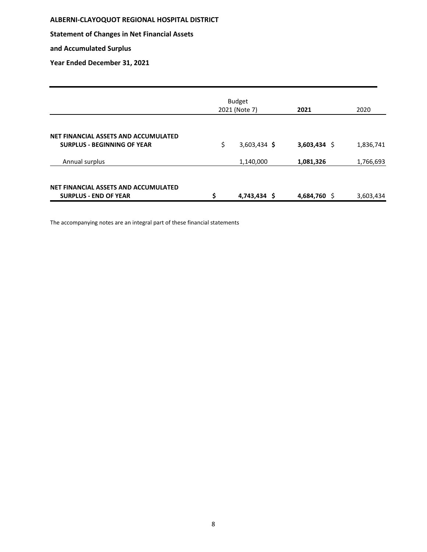**Statement of Changes in Net Financial Assets** 

**and Accumulated Surplus** 

**Year Ended December 31, 2021** 

|                                                                            | <b>Budget</b><br>2021 (Note 7) | 2021           | 2020      |
|----------------------------------------------------------------------------|--------------------------------|----------------|-----------|
| NET FINANCIAL ASSETS AND ACCUMULATED<br><b>SURPLUS - BEGINNING OF YEAR</b> | \$<br>$3,603,434$ \$           | $3,603,434$ \$ | 1,836,741 |
| Annual surplus                                                             | 1,140,000                      | 1,081,326      | 1,766,693 |
| NET FINANCIAL ASSETS AND ACCUMULATED<br><b>SURPLUS - END OF YEAR</b>       | \$<br>4,743,434 \$             | 4,684,760 \$   | 3,603,434 |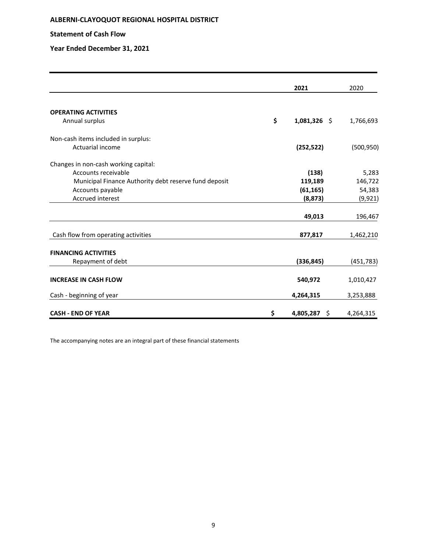### **Statement of Cash Flow**

### **Year Ended December 31, 2021**

|                                                       | 2021                 | 2020       |
|-------------------------------------------------------|----------------------|------------|
| <b>OPERATING ACTIVITIES</b>                           |                      |            |
| Annual surplus                                        | \$<br>$1,081,326$ \$ | 1,766,693  |
| Non-cash items included in surplus:                   |                      |            |
| Actuarial income                                      | (252, 522)           | (500, 950) |
| Changes in non-cash working capital:                  |                      |            |
| Accounts receivable                                   | (138)                | 5,283      |
| Municipal Finance Authority debt reserve fund deposit | 119,189              | 146,722    |
| Accounts payable                                      | (61, 165)            | 54,383     |
| Accrued interest                                      | (8,873)              | (9, 921)   |
|                                                       | 49,013               | 196,467    |
| Cash flow from operating activities                   | 877,817              | 1,462,210  |
| <b>FINANCING ACTIVITIES</b>                           |                      |            |
| Repayment of debt                                     | (336, 845)           | (451,783)  |
| <b>INCREASE IN CASH FLOW</b>                          | 540,972              | 1,010,427  |
| Cash - beginning of year                              | 4,264,315            | 3,253,888  |
| <b>CASH - END OF YEAR</b>                             | \$<br>4,805,287 \$   | 4,264,315  |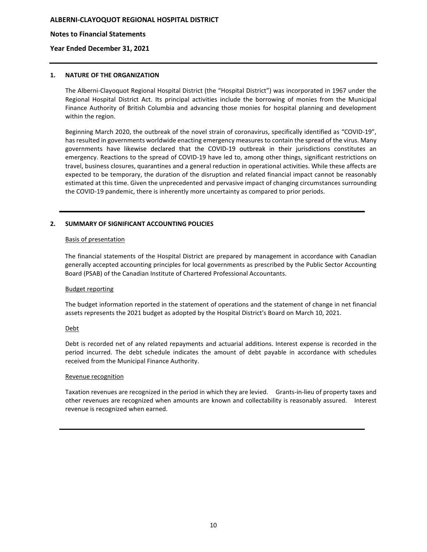#### **Notes to Financial Statements**

#### **Year Ended December 31, 2021**

#### **1. NATURE OF THE ORGANIZATION**

The Alberni-Clayoquot Regional Hospital District (the "Hospital District") was incorporated in 1967 under the Regional Hospital District Act. Its principal activities include the borrowing of monies from the Municipal Finance Authority of British Columbia and advancing those monies for hospital planning and development within the region.

Beginning March 2020, the outbreak of the novel strain of coronavirus, specifically identified as "COVID-19", has resulted in governments worldwide enacting emergency measures to contain the spread of the virus. Many governments have likewise declared that the COVID-19 outbreak in their jurisdictions constitutes an emergency. Reactions to the spread of COVID-19 have led to, among other things, significant restrictions on travel, business closures, quarantines and a general reduction in operational activities. While these affects are expected to be temporary, the duration of the disruption and related financial impact cannot be reasonably estimated at this time. Given the unprecedented and pervasive impact of changing circumstances surrounding the COVID-19 pandemic, there is inherently more uncertainty as compared to prior periods.

#### **2. SUMMARY OF SIGNIFICANT ACCOUNTING POLICIES**

#### Basis of presentation

The financial statements of the Hospital District are prepared by management in accordance with Canadian generally accepted accounting principles for local governments as prescribed by the Public Sector Accounting Board (PSAB) of the Canadian Institute of Chartered Professional Accountants.

#### Budget reporting

The budget information reported in the statement of operations and the statement of change in net financial assets represents the 2021 budget as adopted by the Hospital District's Board on March 10, 2021.

#### Debt

Debt is recorded net of any related repayments and actuarial additions. Interest expense is recorded in the period incurred. The debt schedule indicates the amount of debt payable in accordance with schedules received from the Municipal Finance Authority.

#### Revenue recognition

Taxation revenues are recognized in the period in which they are levied. Grants-in-lieu of property taxes and other revenues are recognized when amounts are known and collectability is reasonably assured. Interest revenue is recognized when earned.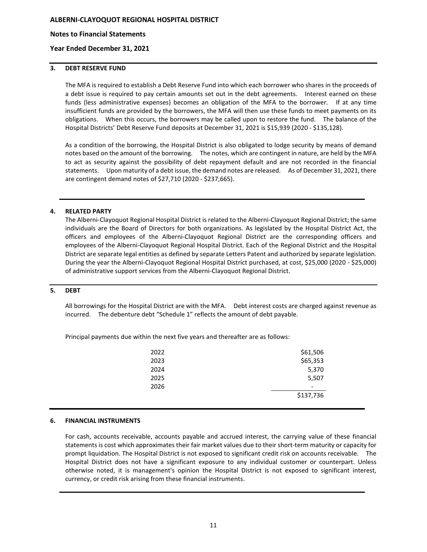#### **Notes to Financial Statements**

#### **Year Ended December 31, 2021**

#### **3. DEBT RESERVE FUND**

The MFA is required to establish a Debt Reserve Fund into which each borrower who shares in the proceeds of a debt issue is required to pay certain amounts set out in the debt agreements. Interest earned on these funds (less administrative expenses) becomes an obligation of the MFA to the borrower. If at any time insufficient funds are provided by the borrowers, the MFA will then use these funds to meet payments on its obligations. When this occurs, the borrowers may be called upon to restore the fund. The balance of the Hospital Districts' Debt Reserve Fund deposits at December 31, 2021 is \$15,939 (2020 - \$135,128).

As a condition of the borrowing, the Hospital District is also obligated to lodge security by means of demand notes based on the amount of the borrowing. The notes, which are contingent in nature, are held by the MFA to act as security against the possibility of debt repayment default and are not recorded in the financial statements. Upon maturity of a debt issue, the demand notes are released. As of December 31, 2021, there are contingent demand notes of \$27,710 (2020 - \$237,665).

#### **4. RELATED PARTY**

The Alberni-Clayoquot Regional Hospital District is related to the Alberni-Clayoquot Regional District; the same individuals are the Board of Directors for both organizations. As legislated by the Hospital District Act, the officers and employees of the Alberni-Clayoquot Regional District are the corresponding officers and employees of the Alberni-Clayoquot Regional Hospital District. Each of the Regional District and the Hospital District are separate legal entities as defined by separate Letters Patent and authorized by separate legislation. During the year the Alberni-Clayoquot Regional Hospital District purchased, at cost, \$25,000 (2020 - \$25,000) of administrative support services from the Alberni-Clayoquot Regional District.

#### **5. DEBT**

All borrowings for the Hospital District are with the MFA. Debt interest costs are charged against revenue as incurred. The debenture debt "Schedule 1" reflects the amount of debt payable.

Principal payments due within the next five years and thereafter are as follows:

| 2022 | \$61,506  |
|------|-----------|
| 2023 | \$65,353  |
| 2024 | 5,370     |
| 2025 | 5,507     |
| 2026 |           |
|      | \$137,736 |
|      |           |

#### **6. FINANCIAL INSTRUMENTS**

For cash, accounts receivable, accounts payable and accrued interest, the carrying value of these financial statements is cost which approximates their fair market values due to their short-term maturity or capacity for prompt liquidation. The Hospital District is not exposed to significant credit risk on accounts receivable. The Hospital District does not have a significant exposure to any individual customer or counterpart. Unless otherwise noted, it is management's opinion the Hospital District is not exposed to significant interest, currency, or credit risk arising from these financial instruments.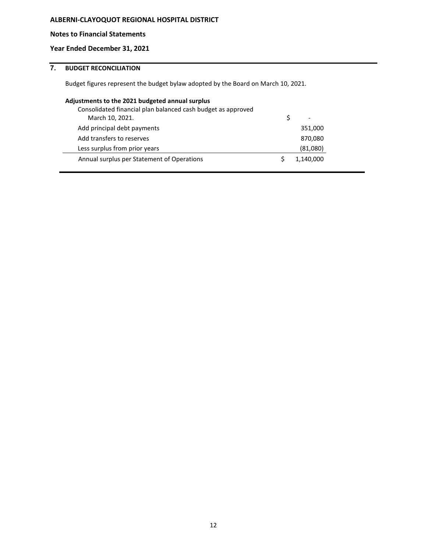### **Notes to Financial Statements**

### **Year Ended December 31, 2021**

## **7. BUDGET RECONCILIATION**

Budget figures represent the budget bylaw adopted by the Board on March 10, 2021.

| Adjustments to the 2021 budgeted annual surplus              |           |
|--------------------------------------------------------------|-----------|
| Consolidated financial plan balanced cash budget as approved |           |
| March 10, 2021.                                              |           |
| Add principal debt payments                                  | 351,000   |
| Add transfers to reserves                                    | 870,080   |
| Less surplus from prior years                                | (81,080)  |
| Annual surplus per Statement of Operations                   | 1,140,000 |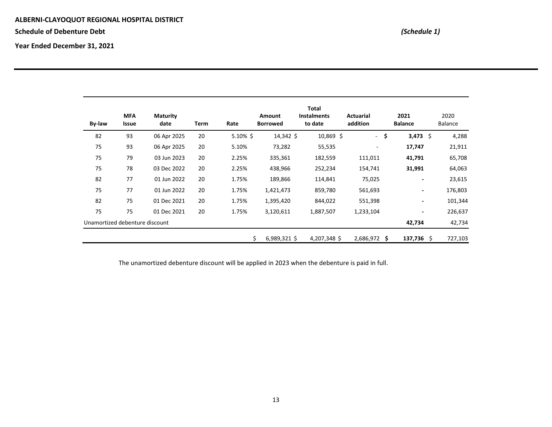**Schedule of Debenture Debt** *(Schedule 1)*

**Year Ended December 31, 2021** 

| By-law                         | <b>MFA</b><br>Issue | <b>Maturity</b><br>date | Term | Rate        | <b>Amount</b><br><b>Borrowed</b> | Total<br><b>Instalments</b><br>to date | <b>Actuarial</b><br>addition | 2021<br><b>Balance</b> | 2020<br>Balance |
|--------------------------------|---------------------|-------------------------|------|-------------|----------------------------------|----------------------------------------|------------------------------|------------------------|-----------------|
| 82                             | 93                  | 06 Apr 2025             | 20   | $5.10\%$ \$ | 14,342 \$                        | $10,869$ \$                            | $\omega_{\rm{eff}}$          | \$<br>3,473 \$         | 4,288           |
| 75                             | 93                  | 06 Apr 2025             | 20   | 5.10%       | 73,282                           | 55,535                                 | ٠                            | 17,747                 | 21,911          |
| 75                             | 79                  | 03 Jun 2023             | 20   | 2.25%       | 335,361                          | 182,559                                | 111,011                      | 41,791                 | 65,708          |
| 75                             | 78                  | 03 Dec 2022             | 20   | 2.25%       | 438,966                          | 252,234                                | 154,741                      | 31,991                 | 64,063          |
| 82                             | 77                  | 01 Jun 2022             | 20   | 1.75%       | 189,866                          | 114,841                                | 75,025                       | $\blacksquare$         | 23,615          |
| 75                             | 77                  | 01 Jun 2022             | 20   | 1.75%       | 1,421,473                        | 859,780                                | 561,693                      | ۰.                     | 176,803         |
| 82                             | 75                  | 01 Dec 2021             | 20   | 1.75%       | 1,395,420                        | 844,022                                | 551,398                      | $\sim$                 | 101,344         |
| 75                             | 75                  | 01 Dec 2021             | 20   | 1.75%       | 3,120,611                        | 1,887,507                              | 1,233,104                    | ۰.                     | 226,637         |
| Unamortized debenture discount |                     |                         |      |             |                                  |                                        |                              | 42,734                 | 42,734          |
|                                |                     |                         |      |             | \$<br>$6,989,321$ \$             | 4,207,348 \$                           | 2,686,972 \$                 | $137,736$ \$           | 727,103         |

The unamortized debenture discount will be applied in 2023 when the debenture is paid in full.